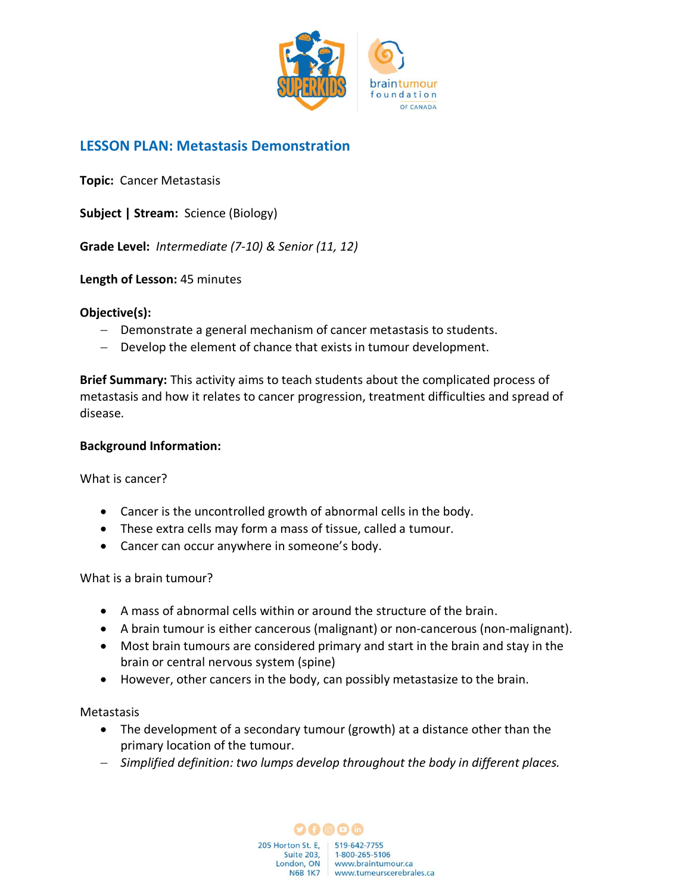

# **LESSON PLAN: Metastasis Demonstration**

**Topic:** Cancer Metastasis

**Subject | Stream:** Science (Biology)

**Grade Level:** *Intermediate (7-10) & Senior (11, 12)*

**Length of Lesson:** 45 minutes

#### **Objective(s):**

- − Demonstrate a general mechanism of cancer metastasis to students.
- − Develop the element of chance that exists in tumour development.

**Brief Summary:** This activity aims to teach students about the complicated process of metastasis and how it relates to cancer progression, treatment difficulties and spread of disease.

#### **Background Information:**

What is cancer?

- Cancer is the uncontrolled growth of abnormal cells in the body.
- These extra cells may form a mass of tissue, called a tumour.
- Cancer can occur anywhere in someone's body.

What is a brain tumour?

- A mass of abnormal cells within or around the structure of the brain.
- A brain tumour is either cancerous (malignant) or non-cancerous (non-malignant).
- Most brain tumours are considered primary and start in the brain and stay in the brain or central nervous system (spine)
- However, other cancers in the body, can possibly metastasize to the brain.

**Metastasis** 

- The development of a secondary tumour (growth) at a distance other than the primary location of the tumour.
- − *Simplified definition: two lumps develop throughout the body in different places.*

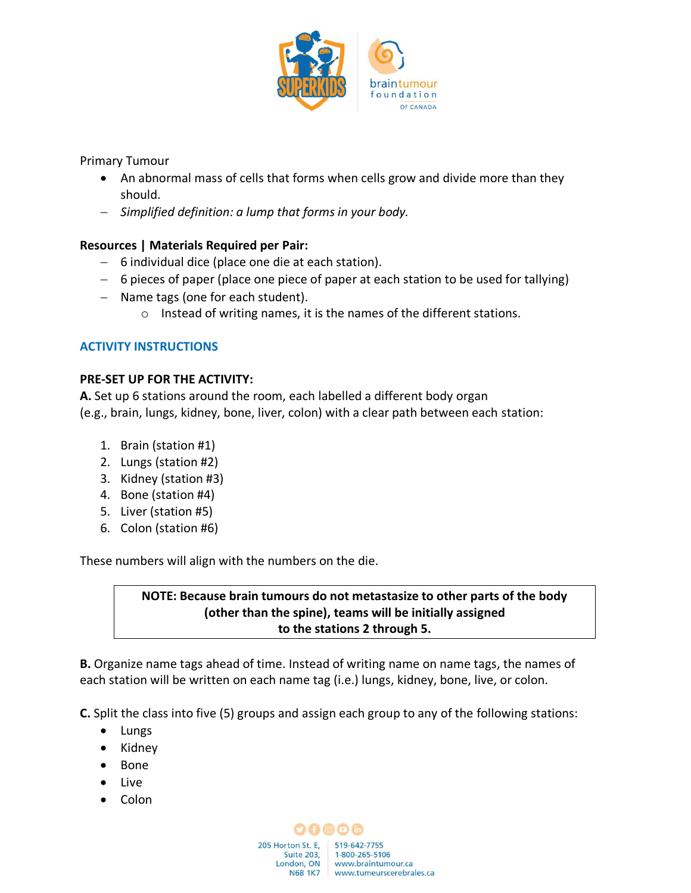

Primary Tumour

- An abnormal mass of cells that forms when cells grow and divide more than they should.
- − *Simplified definition: a lump that forms in your body.*

# **Resources | Materials Required per Pair:**

- − 6 individual dice (place one die at each station).
- − 6 pieces of paper (place one piece of paper at each station to be used for tallying)
- − Name tags (one for each student).
	- o Instead of writing names, it is the names of the different stations.

# **ACTIVITY INSTRUCTIONS**

#### **PRE-SET UP FOR THE ACTIVITY:**

**A.** Set up 6 stations around the room, each labelled a different body organ (e.g., brain, lungs, kidney, bone, liver, colon) with a clear path between each station:

- 1. Brain (station #1)
- 2. Lungs (station #2)
- 3. Kidney (station #3)
- 4. Bone (station #4)
- 5. Liver (station #5)
- 6. Colon (station #6)

These numbers will align with the numbers on the die.

# **NOTE: Because brain tumours do not metastasize to other parts of the body (other than the spine), teams will be initially assigned to the stations 2 through 5.**

**B.** Organize name tags ahead of time. Instead of writing name on name tags, the names of each station will be written on each name tag (i.e.) lungs, kidney, bone, live, or colon.

**C.** Split the class into five (5) groups and assign each group to any of the following stations:

- Lungs
- Kidney
- Bone
- Live
- Colon

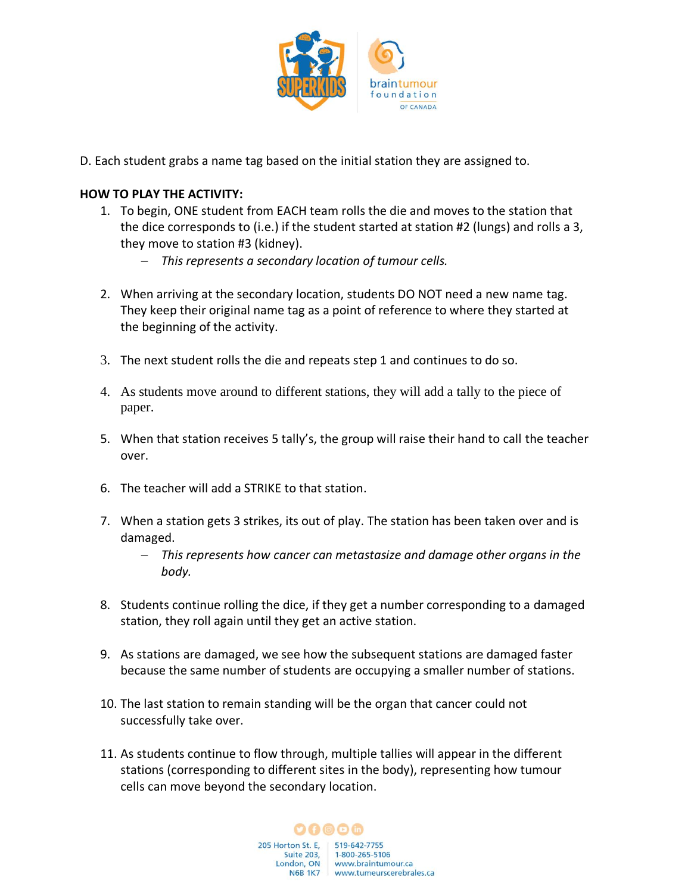

D. Each student grabs a name tag based on the initial station they are assigned to.

### **HOW TO PLAY THE ACTIVITY:**

- 1. To begin, ONE student from EACH team rolls the die and moves to the station that the dice corresponds to (i.e.) if the student started at station #2 (lungs) and rolls a 3, they move to station #3 (kidney).
	- − *This represents a secondary location of tumour cells.*
- 2. When arriving at the secondary location, students DO NOT need a new name tag. They keep their original name tag as a point of reference to where they started at the beginning of the activity.
- 3. The next student rolls the die and repeats step 1 and continues to do so.
- 4. As students move around to different stations, they will add a tally to the piece of paper.
- 5. When that station receives 5 tally's, the group will raise their hand to call the teacher over.
- 6. The teacher will add a STRIKE to that station.
- 7. When a station gets 3 strikes, its out of play. The station has been taken over and is damaged.
	- − *This represents how cancer can metastasize and damage other organs in the body.*
- 8. Students continue rolling the dice, if they get a number corresponding to a damaged station, they roll again until they get an active station.
- 9. As stations are damaged, we see how the subsequent stations are damaged faster because the same number of students are occupying a smaller number of stations.
- 10. The last station to remain standing will be the organ that cancer could not successfully take over.
- 11. As students continue to flow through, multiple tallies will appear in the different stations (corresponding to different sites in the body), representing how tumour cells can move beyond the secondary location.